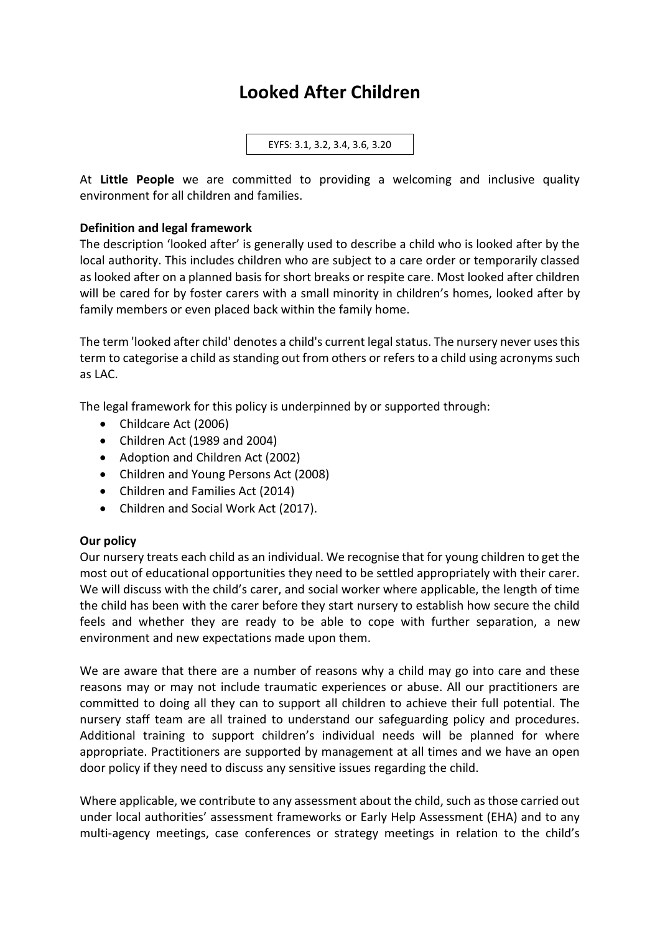# **Looked After Children**

EYFS: 3.1, 3.2, 3.4, 3.6, 3.20

At **Little People** we are committed to providing a welcoming and inclusive quality environment for all children and families.

## **Definition and legal framework**

The description 'looked after' is generally used to describe a child who is looked after by the local authority. This includes children who are subject to a care order or temporarily classed as looked after on a planned basis for short breaks or respite care. Most looked after children will be cared for by foster carers with a small minority in children's homes, looked after by family members or even placed back within the family home.

The term 'looked after child' denotes a child's current legal status. The nursery never uses this term to categorise a child as standing out from others or refers to a child using acronyms such as LAC.

The legal framework for this policy is underpinned by or supported through:

- Childcare Act (2006)
- Children Act (1989 and 2004)
- Adoption and Children Act (2002)
- Children and Young Persons Act (2008)
- Children and Families Act (2014)
- Children and Social Work Act (2017).

### **Our policy**

Our nursery treats each child as an individual. We recognise that for young children to get the most out of educational opportunities they need to be settled appropriately with their carer. We will discuss with the child's carer, and social worker where applicable, the length of time the child has been with the carer before they start nursery to establish how secure the child feels and whether they are ready to be able to cope with further separation, a new environment and new expectations made upon them.

We are aware that there are a number of reasons why a child may go into care and these reasons may or may not include traumatic experiences or abuse. All our practitioners are committed to doing all they can to support all children to achieve their full potential. The nursery staff team are all trained to understand our safeguarding policy and procedures. Additional training to support children's individual needs will be planned for where appropriate. Practitioners are supported by management at all times and we have an open door policy if they need to discuss any sensitive issues regarding the child.

Where applicable, we contribute to any assessment about the child, such as those carried out under local authorities' assessment frameworks or Early Help Assessment (EHA) and to any multi-agency meetings, case conferences or strategy meetings in relation to the child's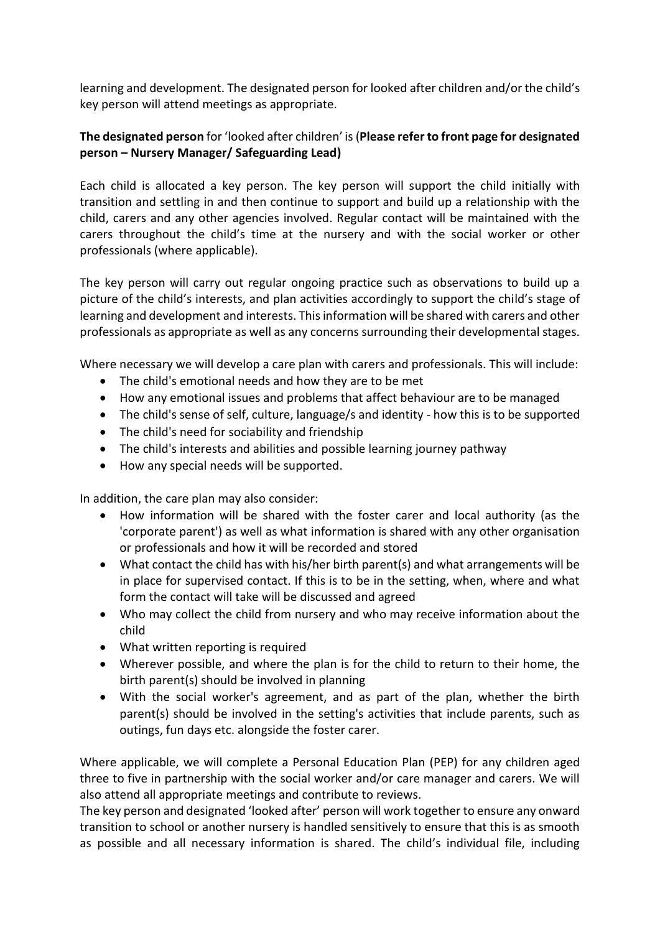learning and development. The designated person for looked after children and/or the child's key person will attend meetings as appropriate.

# **The designated person** for 'looked after children' is (**Please refer to front page for designated person – Nursery Manager/ Safeguarding Lead)**

Each child is allocated a key person. The key person will support the child initially with transition and settling in and then continue to support and build up a relationship with the child, carers and any other agencies involved. Regular contact will be maintained with the carers throughout the child's time at the nursery and with the social worker or other professionals (where applicable).

The key person will carry out regular ongoing practice such as observations to build up a picture of the child's interests, and plan activities accordingly to support the child's stage of learning and development and interests. This information will be shared with carers and other professionals as appropriate as well as any concerns surrounding their developmental stages.

Where necessary we will develop a care plan with carers and professionals. This will include:

- The child's emotional needs and how they are to be met
- How any emotional issues and problems that affect behaviour are to be managed
- The child's sense of self, culture, language/s and identity how this is to be supported
- The child's need for sociability and friendship
- The child's interests and abilities and possible learning journey pathway
- How any special needs will be supported.

In addition, the care plan may also consider:

- How information will be shared with the foster carer and local authority (as the 'corporate parent') as well as what information is shared with any other organisation or professionals and how it will be recorded and stored
- What contact the child has with his/her birth parent(s) and what arrangements will be in place for supervised contact. If this is to be in the setting, when, where and what form the contact will take will be discussed and agreed
- Who may collect the child from nursery and who may receive information about the child
- What written reporting is required
- Wherever possible, and where the plan is for the child to return to their home, the birth parent(s) should be involved in planning
- With the social worker's agreement, and as part of the plan, whether the birth parent(s) should be involved in the setting's activities that include parents, such as outings, fun days etc. alongside the foster carer.

Where applicable, we will complete a Personal Education Plan (PEP) for any children aged three to five in partnership with the social worker and/or care manager and carers. We will also attend all appropriate meetings and contribute to reviews.

The key person and designated 'looked after' person will work together to ensure any onward transition to school or another nursery is handled sensitively to ensure that this is as smooth as possible and all necessary information is shared. The child's individual file, including